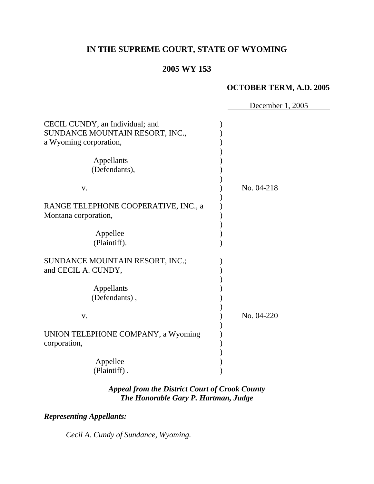# **IN THE SUPREME COURT, STATE OF WYOMING**

# **2005 WY 153**

### **OCTOBER TERM, A.D. 2005**

|                                                                                              | December 1, 2005 |
|----------------------------------------------------------------------------------------------|------------------|
| CECIL CUNDY, an Individual; and<br>SUNDANCE MOUNTAIN RESORT, INC.,<br>a Wyoming corporation, |                  |
| Appellants<br>(Defendants),                                                                  |                  |
| V.                                                                                           | No. 04-218       |
| RANGE TELEPHONE COOPERATIVE, INC., a<br>Montana corporation,                                 |                  |
| Appellee<br>(Plaintiff).                                                                     |                  |
| SUNDANCE MOUNTAIN RESORT, INC.;<br>and CECIL A. CUNDY,                                       |                  |
| Appellants<br>(Defendants),                                                                  |                  |
| V.                                                                                           | No. 04-220       |
| UNION TELEPHONE COMPANY, a Wyoming<br>corporation,                                           |                  |
| Appellee<br>(Plaintiff).                                                                     |                  |

# *Appeal from the District Court of Crook County The Honorable Gary P. Hartman, Judge*

# *Representing Appellants:*

*Cecil A. Cundy of Sundance, Wyoming.*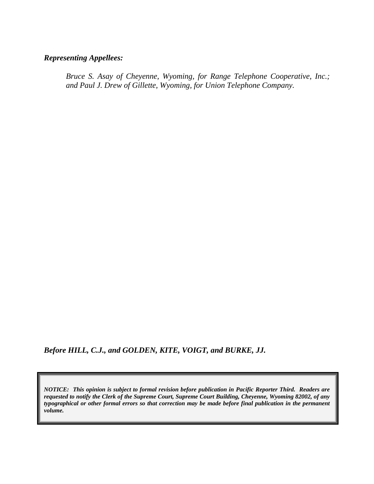# *Representing Appellees:*

*Bruce S. Asay of Cheyenne, Wyoming, for Range Telephone Cooperative, Inc.; and Paul J. Drew of Gillette, Wyoming, for Union Telephone Company.* 

*Before HILL, C.J., and GOLDEN, KITE, VOIGT, and BURKE, JJ.* 

*NOTICE: This opinion is subject to formal revision before publication in Pacific Reporter Third. Readers are requested to notify the Clerk of the Supreme Court, Supreme Court Building, Cheyenne, Wyoming 82002, of any typographical or other formal errors so that correction may be made before final publication in the permanent volume.*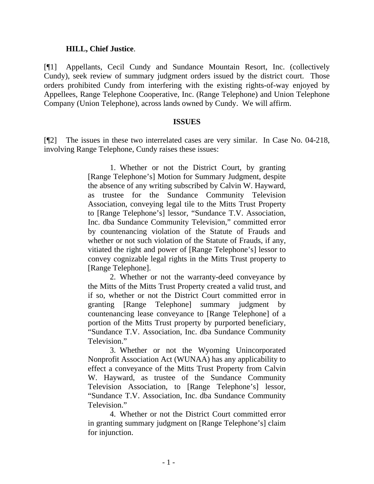#### **HILL, Chief Justice**.

[¶1] Appellants, Cecil Cundy and Sundance Mountain Resort, Inc. (collectively Cundy), seek review of summary judgment orders issued by the district court. Those orders prohibited Cundy from interfering with the existing rights-of-way enjoyed by Appellees, Range Telephone Cooperative, Inc. (Range Telephone) and Union Telephone Company (Union Telephone), across lands owned by Cundy. We will affirm.

#### **ISSUES**

[¶2] The issues in these two interrelated cases are very similar. In Case No. 04-218, involving Range Telephone, Cundy raises these issues:

> 1. Whether or not the District Court, by granting [Range Telephone's] Motion for Summary Judgment, despite the absence of any writing subscribed by Calvin W. Hayward, as trustee for the Sundance Community Television Association, conveying legal tile to the Mitts Trust Property to [Range Telephone's] lessor, "Sundance T.V. Association, Inc. dba Sundance Community Television," committed error by countenancing violation of the Statute of Frauds and whether or not such violation of the Statute of Frauds, if any, vitiated the right and power of [Range Telephone's] lessor to convey cognizable legal rights in the Mitts Trust property to [Range Telephone].

> 2. Whether or not the warranty-deed conveyance by the Mitts of the Mitts Trust Property created a valid trust, and if so, whether or not the District Court committed error in granting [Range Telephone] summary judgment by countenancing lease conveyance to [Range Telephone] of a portion of the Mitts Trust property by purported beneficiary, "Sundance T.V. Association, Inc. dba Sundance Community Television."

> 3. Whether or not the Wyoming Unincorporated Nonprofit Association Act (WUNAA) has any applicability to effect a conveyance of the Mitts Trust Property from Calvin W. Hayward, as trustee of the Sundance Community Television Association, to [Range Telephone's] lessor, "Sundance T.V. Association, Inc. dba Sundance Community Television."

> 4. Whether or not the District Court committed error in granting summary judgment on [Range Telephone's] claim for injunction.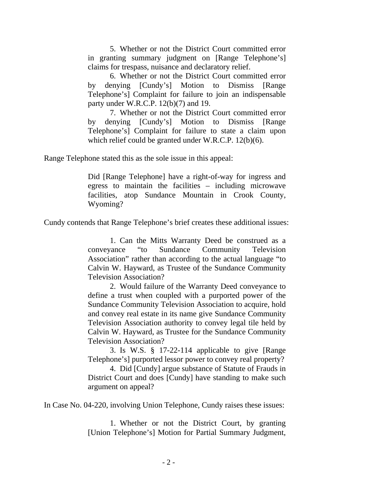5. Whether or not the District Court committed error in granting summary judgment on [Range Telephone's] claims for trespass, nuisance and declaratory relief.

 6. Whether or not the District Court committed error by denying [Cundy's] Motion to Dismiss [Range Telephone's] Complaint for failure to join an indispensable party under W.R.C.P. 12(b)(7) and 19.

 7. Whether or not the District Court committed error by denying [Cundy's] Motion to Dismiss [Range Telephone's] Complaint for failure to state a claim upon which relief could be granted under W.R.C.P. 12(b)(6).

Range Telephone stated this as the sole issue in this appeal:

Did [Range Telephone] have a right-of-way for ingress and egress to maintain the facilities – including microwave facilities, atop Sundance Mountain in Crook County, Wyoming?

Cundy contends that Range Telephone's brief creates these additional issues:

 1. Can the Mitts Warranty Deed be construed as a conveyance "to Sundance Community Television Association" rather than according to the actual language "to Calvin W. Hayward, as Trustee of the Sundance Community Television Association?

 2. Would failure of the Warranty Deed conveyance to define a trust when coupled with a purported power of the Sundance Community Television Association to acquire, hold and convey real estate in its name give Sundance Community Television Association authority to convey legal tile held by Calvin W. Hayward, as Trustee for the Sundance Community Television Association?

 3. Is W.S. § 17-22-114 applicable to give [Range Telephone's] purported lessor power to convey real property?

 4. Did [Cundy] argue substance of Statute of Frauds in District Court and does [Cundy] have standing to make such argument on appeal?

In Case No. 04-220, involving Union Telephone, Cundy raises these issues:

 1. Whether or not the District Court, by granting [Union Telephone's] Motion for Partial Summary Judgment,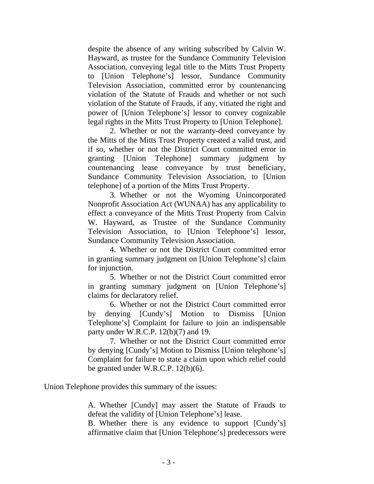despite the absence of any writing subscribed by Calvin W. Hayward, as trustee for the Sundance Community Television Association, conveying legal title to the Mitts Trust Property to [Union Telephone's] lessor, Sundance Community Television Association, committed error by countenancing violation of the Statute of Frauds and whether or not such violation of the Statute of Frauds, if any, vitiated the right and power of [Union Telephone's] lessor to convey cognizable legal rights in the Mitts Trust Property to [Union Telephone].

 2. Whether or not the warranty-deed conveyance by the Mitts of the Mitts Trust Property created a valid trust, and if so, whether or not the District Court committed error in granting [Union Telephone] summary judgment by countenancing lease conveyance by trust beneficiary, Sundance Community Television Association, to [Union telephone] of a portion of the Mitts Trust Property.

 3. Whether or not the Wyoming Unincorporated Nonprofit Association Act (WUNAA) has any applicability to effect a conveyance of the Mitts Trust Property from Calvin W. Hayward, as Trustee of the Sundance Community Television Association, to [Union Telephone's] lessor, Sundance Community Television Association.

 4. Whether or not the District Court committed error in granting summary judgment on [Union Telephone's] claim for injunction.

 5. Whether or not the District Court committed error in granting summary judgment on [Union Telephone's] claims for declaratory relief.

 6. Whether or not the District Court committed error by denying [Cundy's] Motion to Dismiss [Union Telephone's] Complaint for failure to join an indispensable party under W.R.C.P. 12(b)(7) and 19.

 7. Whether or not the District Court committed error by denying [Cundy's] Motion to Dismiss [Union telephone's] Complaint for failure to state a claim upon which relief could be granted under W.R.C.P. 12(b)(6).

Union Telephone provides this summary of the issues:

A. Whether [Cundy] may assert the Statute of Frauds to defeat the validity of [Union Telephone's] lease.

B. Whether there is any evidence to support [Cundy's] affirmative claim that [Union Telephone's] predecessors were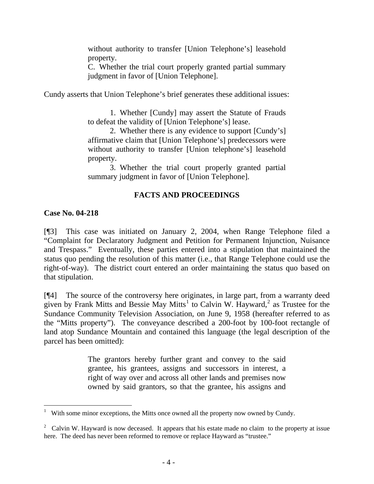without authority to transfer [Union Telephone's] leasehold property.

C. Whether the trial court properly granted partial summary judgment in favor of [Union Telephone].

Cundy asserts that Union Telephone's brief generates these additional issues:

 1. Whether [Cundy] may assert the Statute of Frauds to defeat the validity of [Union Telephone's] lease.

 2. Whether there is any evidence to support [Cundy's] affirmative claim that [Union Telephone's] predecessors were without authority to transfer [Union telephone's] leasehold property.

 3. Whether the trial court properly granted partial summary judgment in favor of [Union Telephone].

# **FACTS AND PROCEEDINGS**

## **Case No. 04-218**

l

[¶3] This case was initiated on January 2, 2004, when Range Telephone filed a "Complaint for Declaratory Judgment and Petition for Permanent Injunction, Nuisance and Trespass." Eventually, these parties entered into a stipulation that maintained the status quo pending the resolution of this matter (i.e., that Range Telephone could use the right-of-way). The district court entered an order maintaining the status quo based on that stipulation.

[¶4] The source of the controversy here originates, in large part, from a warranty deed given by Frank Mitts and Bessie May Mitts<sup>[1](#page-6-0)</sup> to Calvin W. Hayward,<sup>[2](#page-6-1)</sup> as Trustee for the Sundance Community Television Association, on June 9, 1958 (hereafter referred to as the "Mitts property"). The conveyance described a 200-foot by 100-foot rectangle of land atop Sundance Mountain and contained this language (the legal description of the parcel has been omitted):

> The grantors hereby further grant and convey to the said grantee, his grantees, assigns and successors in interest, a right of way over and across all other lands and premises now owned by said grantors, so that the grantee, his assigns and

<span id="page-6-0"></span><sup>1</sup> With some minor exceptions, the Mitts once owned all the property now owned by Cundy.

<span id="page-6-1"></span><sup>&</sup>lt;sup>2</sup> Calvin W. Hayward is now deceased. It appears that his estate made no claim to the property at issue here. The deed has never been reformed to remove or replace Hayward as "trustee."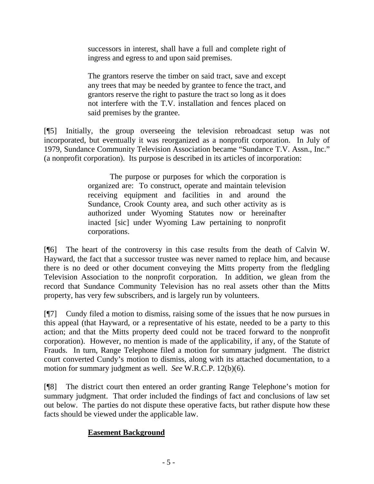successors in interest, shall have a full and complete right of ingress and egress to and upon said premises.

The grantors reserve the timber on said tract, save and except any trees that may be needed by grantee to fence the tract, and grantors reserve the right to pasture the tract so long as it does not interfere with the T.V. installation and fences placed on said premises by the grantee.

[¶5] Initially, the group overseeing the television rebroadcast setup was not incorporated, but eventually it was reorganized as a nonprofit corporation. In July of 1979, Sundance Community Television Association became "Sundance T.V. Assn., Inc." (a nonprofit corporation). Its purpose is described in its articles of incorporation:

> The purpose or purposes for which the corporation is organized are: To construct, operate and maintain television receiving equipment and facilities in and around the Sundance, Crook County area, and such other activity as is authorized under Wyoming Statutes now or hereinafter inacted [sic] under Wyoming Law pertaining to nonprofit corporations.

[¶6] The heart of the controversy in this case results from the death of Calvin W. Hayward, the fact that a successor trustee was never named to replace him, and because there is no deed or other document conveying the Mitts property from the fledgling Television Association to the nonprofit corporation. In addition, we glean from the record that Sundance Community Television has no real assets other than the Mitts property, has very few subscribers, and is largely run by volunteers.

[¶7] Cundy filed a motion to dismiss, raising some of the issues that he now pursues in this appeal (that Hayward, or a representative of his estate, needed to be a party to this action; and that the Mitts property deed could not be traced forward to the nonprofit corporation). However, no mention is made of the applicability, if any, of the Statute of Frauds. In turn, Range Telephone filed a motion for summary judgment. The district court converted Cundy's motion to dismiss, along with its attached documentation, to a motion for summary judgment as well. *See* W.R.C.P. 12(b)(6).

[¶8] The district court then entered an order granting Range Telephone's motion for summary judgment. That order included the findings of fact and conclusions of law set out below. The parties do not dispute these operative facts, but rather dispute how these facts should be viewed under the applicable law.

# **Easement Background**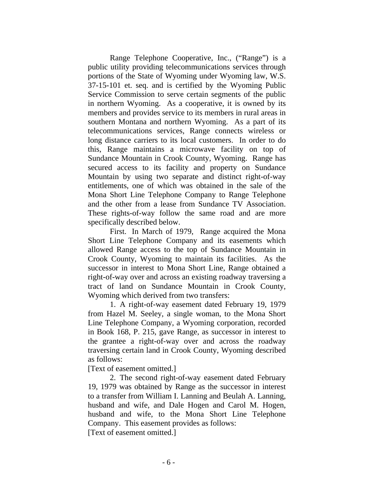Range Telephone Cooperative, Inc., ("Range") is a public utility providing telecommunications services through portions of the State of Wyoming under Wyoming law, W.S. 37-15-101 et. seq. and is certified by the Wyoming Public Service Commission to serve certain segments of the public in northern Wyoming. As a cooperative, it is owned by its members and provides service to its members in rural areas in southern Montana and northern Wyoming. As a part of its telecommunications services, Range connects wireless or long distance carriers to its local customers. In order to do this, Range maintains a microwave facility on top of Sundance Mountain in Crook County, Wyoming. Range has secured access to its facility and property on Sundance Mountain by using two separate and distinct right-of-way entitlements, one of which was obtained in the sale of the Mona Short Line Telephone Company to Range Telephone and the other from a lease from Sundance TV Association. These rights-of-way follow the same road and are more specifically described below.

 First. In March of 1979, Range acquired the Mona Short Line Telephone Company and its easements which allowed Range access to the top of Sundance Mountain in Crook County, Wyoming to maintain its facilities. As the successor in interest to Mona Short Line, Range obtained a right-of-way over and across an existing roadway traversing a tract of land on Sundance Mountain in Crook County, Wyoming which derived from two transfers:

 1. A right-of-way easement dated February 19, 1979 from Hazel M. Seeley, a single woman, to the Mona Short Line Telephone Company, a Wyoming corporation, recorded in Book 168, P. 215, gave Range, as successor in interest to the grantee a right-of-way over and across the roadway traversing certain land in Crook County, Wyoming described as follows:

[Text of easement omitted.]

 2. The second right-of-way easement dated February 19, 1979 was obtained by Range as the successor in interest to a transfer from William I. Lanning and Beulah A. Lanning, husband and wife, and Dale Hogen and Carol M. Hogen, husband and wife, to the Mona Short Line Telephone Company. This easement provides as follows: [Text of easement omitted.]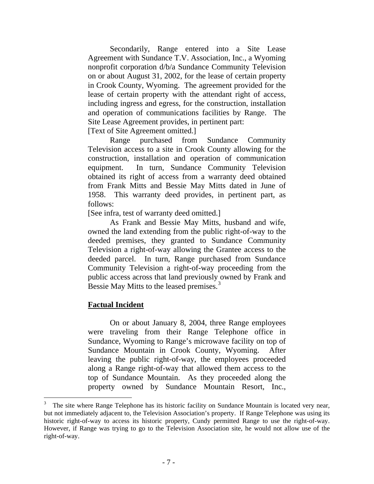Secondarily, Range entered into a Site Lease Agreement with Sundance T.V. Association, Inc., a Wyoming nonprofit corporation d/b/a Sundance Community Television on or about August 31, 2002, for the lease of certain property in Crook County, Wyoming. The agreement provided for the lease of certain property with the attendant right of access, including ingress and egress, for the construction, installation and operation of communications facilities by Range. The Site Lease Agreement provides, in pertinent part:

[Text of Site Agreement omitted.]

 Range purchased from Sundance Community Television access to a site in Crook County allowing for the construction, installation and operation of communication equipment. In turn, Sundance Community Television obtained its right of access from a warranty deed obtained from Frank Mitts and Bessie May Mitts dated in June of 1958. This warranty deed provides, in pertinent part, as follows:

[See infra, test of warranty deed omitted.]

 As Frank and Bessie May Mitts, husband and wife, owned the land extending from the public right-of-way to the deeded premises, they granted to Sundance Community Television a right-of-way allowing the Grantee access to the deeded parcel. In turn, Range purchased from Sundance Community Television a right-of-way proceeding from the public access across that land previously owned by Frank and Bessie May Mitts to the leased premises.<sup>[3](#page-9-0)</sup>

### **Factual Incident**

 $\overline{a}$ 

 On or about January 8, 2004, three Range employees were traveling from their Range Telephone office in Sundance, Wyoming to Range's microwave facility on top of Sundance Mountain in Crook County, Wyoming. After leaving the public right-of-way, the employees proceeded along a Range right-of-way that allowed them access to the top of Sundance Mountain. As they proceeded along the property owned by Sundance Mountain Resort, Inc.,

<span id="page-9-0"></span><sup>3</sup> The site where Range Telephone has its historic facility on Sundance Mountain is located very near, but not immediately adjacent to, the Television Association's property. If Range Telephone was using its historic right-of-way to access its historic property, Cundy permitted Range to use the right-of-way. However, if Range was trying to go to the Television Association site, he would not allow use of the right-of-way.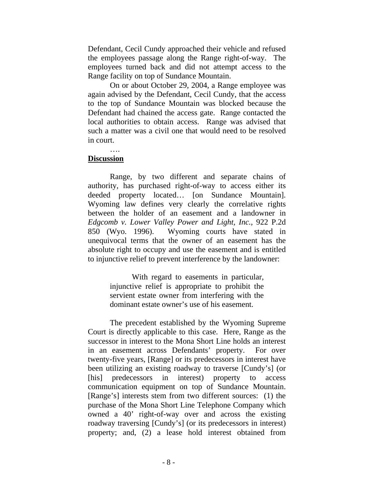Defendant, Cecil Cundy approached their vehicle and refused the employees passage along the Range right-of-way. The employees turned back and did not attempt access to the Range facility on top of Sundance Mountain.

 On or about October 29, 2004, a Range employee was again advised by the Defendant, Cecil Cundy, that the access to the top of Sundance Mountain was blocked because the Defendant had chained the access gate. Range contacted the local authorities to obtain access. Range was advised that such a matter was a civil one that would need to be resolved in court.

#### …. **Discussion**

 Range, by two different and separate chains of authority, has purchased right-of-way to access either its deeded property located… [on Sundance Mountain]. Wyoming law defines very clearly the correlative rights between the holder of an easement and a landowner in *Edgcomb v. Lower Valley Power and Light, Inc.*, 922 P.2d 850 (Wyo. 1996). Wyoming courts have stated in unequivocal terms that the owner of an easement has the absolute right to occupy and use the easement and is entitled to injunctive relief to prevent interference by the landowner:

> With regard to easements in particular, injunctive relief is appropriate to prohibit the servient estate owner from interfering with the dominant estate owner's use of his easement.

The precedent established by the Wyoming Supreme Court is directly applicable to this case. Here, Range as the successor in interest to the Mona Short Line holds an interest in an easement across Defendants' property. For over twenty-five years, [Range] or its predecessors in interest have been utilizing an existing roadway to traverse [Cundy's] (or [his] predecessors in interest) property to access communication equipment on top of Sundance Mountain. [Range's] interests stem from two different sources: (1) the purchase of the Mona Short Line Telephone Company which owned a 40' right-of-way over and across the existing roadway traversing [Cundy's] (or its predecessors in interest) property; and, (2) a lease hold interest obtained from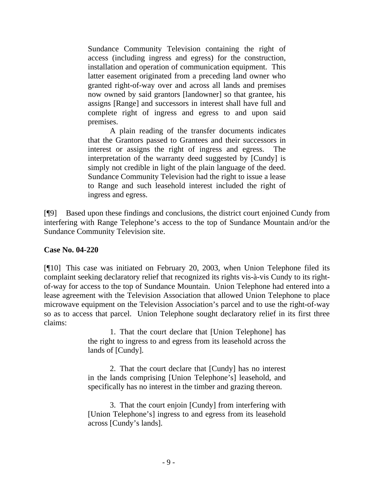Sundance Community Television containing the right of access (including ingress and egress) for the construction, installation and operation of communication equipment. This latter easement originated from a preceding land owner who granted right-of-way over and across all lands and premises now owned by said grantors [landowner] so that grantee, his assigns [Range] and successors in interest shall have full and complete right of ingress and egress to and upon said premises.

 A plain reading of the transfer documents indicates that the Grantors passed to Grantees and their successors in interest or assigns the right of ingress and egress. The interpretation of the warranty deed suggested by [Cundy] is simply not credible in light of the plain language of the deed. Sundance Community Television had the right to issue a lease to Range and such leasehold interest included the right of ingress and egress.

[¶9] Based upon these findings and conclusions, the district court enjoined Cundy from interfering with Range Telephone's access to the top of Sundance Mountain and/or the Sundance Community Television site.

## **Case No. 04-220**

[¶10] This case was initiated on February 20, 2003, when Union Telephone filed its complaint seeking declaratory relief that recognized its rights vis-à-vis Cundy to its rightof-way for access to the top of Sundance Mountain. Union Telephone had entered into a lease agreement with the Television Association that allowed Union Telephone to place microwave equipment on the Television Association's parcel and to use the right-of-way so as to access that parcel. Union Telephone sought declaratory relief in its first three claims:

> 1. That the court declare that [Union Telephone] has the right to ingress to and egress from its leasehold across the lands of [Cundy].

> 2. That the court declare that [Cundy] has no interest in the lands comprising [Union Telephone's] leasehold, and specifically has no interest in the timber and grazing thereon.

> 3. That the court enjoin [Cundy] from interfering with [Union Telephone's] ingress to and egress from its leasehold across [Cundy's lands].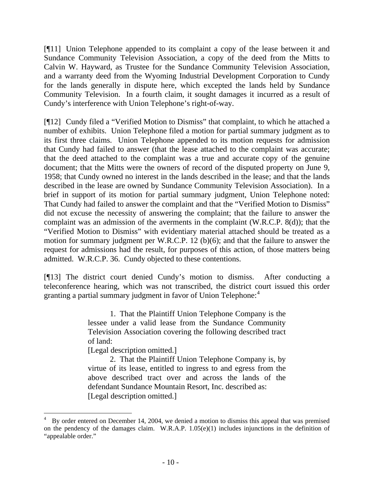[¶11] Union Telephone appended to its complaint a copy of the lease between it and Sundance Community Television Association, a copy of the deed from the Mitts to Calvin W. Hayward, as Trustee for the Sundance Community Television Association, and a warranty deed from the Wyoming Industrial Development Corporation to Cundy for the lands generally in dispute here, which excepted the lands held by Sundance Community Television. In a fourth claim, it sought damages it incurred as a result of Cundy's interference with Union Telephone's right-of-way.

[¶12] Cundy filed a "Verified Motion to Dismiss" that complaint, to which he attached a number of exhibits. Union Telephone filed a motion for partial summary judgment as to its first three claims. Union Telephone appended to its motion requests for admission that Cundy had failed to answer (that the lease attached to the complaint was accurate; that the deed attached to the complaint was a true and accurate copy of the genuine document; that the Mitts were the owners of record of the disputed property on June 9, 1958; that Cundy owned no interest in the lands described in the lease; and that the lands described in the lease are owned by Sundance Community Television Association). In a brief in support of its motion for partial summary judgment, Union Telephone noted: That Cundy had failed to answer the complaint and that the "Verified Motion to Dismiss" did not excuse the necessity of answering the complaint; that the failure to answer the complaint was an admission of the averments in the complaint (W.R.C.P. 8(d)); that the "Verified Motion to Dismiss" with evidentiary material attached should be treated as a motion for summary judgment per W.R.C.P. 12 (b)(6); and that the failure to answer the request for admissions had the result, for purposes of this action, of those matters being admitted. W.R.C.P. 36. Cundy objected to these contentions.

[¶13] The district court denied Cundy's motion to dismiss. After conducting a teleconference hearing, which was not transcribed, the district court issued this order granting a partial summary judgment in favor of Union Telephone:<sup>[4](#page-12-0)</sup>

> 1. That the Plaintiff Union Telephone Company is the lessee under a valid lease from the Sundance Community Television Association covering the following described tract of land:

[Legal description omitted.]

 2. That the Plaintiff Union Telephone Company is, by virtue of its lease, entitled to ingress to and egress from the above described tract over and across the lands of the defendant Sundance Mountain Resort, Inc. described as: [Legal description omitted.]

<span id="page-12-0"></span><sup>4</sup> By order entered on December 14, 2004, we denied a motion to dismiss this appeal that was premised on the pendency of the damages claim. W.R.A.P. 1.05(e)(1) includes injunctions in the definition of "appealable order."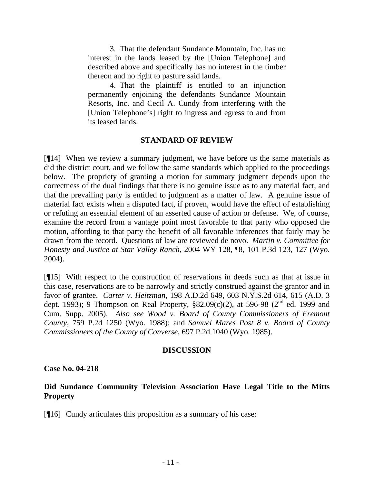3. That the defendant Sundance Mountain, Inc. has no interest in the lands leased by the [Union Telephone] and described above and specifically has no interest in the timber thereon and no right to pasture said lands.

 4. That the plaintiff is entitled to an injunction permanently enjoining the defendants Sundance Mountain Resorts, Inc. and Cecil A. Cundy from interfering with the [Union Telephone's] right to ingress and egress to and from its leased lands.

### **STANDARD OF REVIEW**

[¶14] When we review a summary judgment, we have before us the same materials as did the district court, and we follow the same standards which applied to the proceedings below. The propriety of granting a motion for summary judgment depends upon the correctness of the dual findings that there is no genuine issue as to any material fact, and that the prevailing party is entitled to judgment as a matter of law. A genuine issue of material fact exists when a disputed fact, if proven, would have the effect of establishing or refuting an essential element of an asserted cause of action or defense. We, of course, examine the record from a vantage point most favorable to that party who opposed the motion, affording to that party the benefit of all favorable inferences that fairly may be drawn from the record. Questions of law are reviewed de novo. *Martin v. Committee for Honesty and Justice at Star Valley Ranch*, 2004 WY 128, ¶8, 101 P.3d 123, 127 (Wyo. 2004).

[¶15] With respect to the construction of reservations in deeds such as that at issue in this case, reservations are to be narrowly and strictly construed against the grantor and in favor of grantee. *Carter v. Heitzman*, 198 A.D.2d 649, 603 N.Y.S.2d 614, 615 (A.D. 3 dept. 1993); 9 Thompson on Real Property,  $$82.09(c)(2)$ , at 596-98 (2<sup>nd</sup> ed. 1999 and Cum. Supp. 2005). *Also see Wood v. Board of County Commissioners of Fremont County*, 759 P.2d 1250 (Wyo. 1988); and *Samuel Mares Post 8 v. Board of County Commissioners of the County of Converse*, 697 P.2d 1040 (Wyo. 1985).

### **DISCUSSION**

### **Case No. 04-218**

## **Did Sundance Community Television Association Have Legal Title to the Mitts Property**

[¶16] Cundy articulates this proposition as a summary of his case: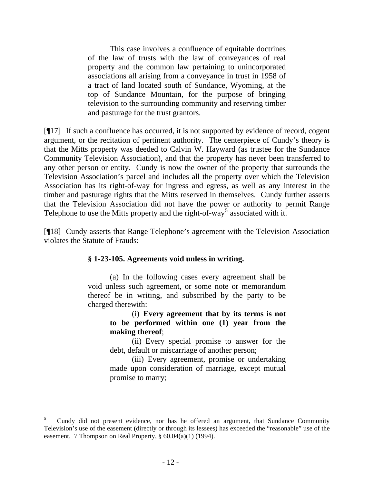This case involves a confluence of equitable doctrines of the law of trusts with the law of conveyances of real property and the common law pertaining to unincorporated associations all arising from a conveyance in trust in 1958 of a tract of land located south of Sundance, Wyoming, at the top of Sundance Mountain, for the purpose of bringing television to the surrounding community and reserving timber and pasturage for the trust grantors.

[¶17] If such a confluence has occurred, it is not supported by evidence of record, cogent argument, or the recitation of pertinent authority. The centerpiece of Cundy's theory is that the Mitts property was deeded to Calvin W. Hayward (as trustee for the Sundance Community Television Association), and that the property has never been transferred to any other person or entity. Cundy is now the owner of the property that surrounds the Television Association's parcel and includes all the property over which the Television Association has its right-of-way for ingress and egress, as well as any interest in the timber and pasturage rights that the Mitts reserved in themselves. Cundy further asserts that the Television Association did not have the power or authority to permit Range Telephone to use the Mitts property and the right-of-way<sup>[5](#page-14-0)</sup> associated with it.

[¶18] Cundy asserts that Range Telephone's agreement with the Television Association violates the Statute of Frauds:

### **§ 1-23-105. Agreements void unless in writing.**

 (a) In the following cases every agreement shall be void unless such agreement, or some note or memorandum thereof be in writing, and subscribed by the party to be charged therewith:

> (i) **Every agreement that by its terms is not to be performed within one (1) year from the making thereof**;

> (ii) Every special promise to answer for the debt, default or miscarriage of another person;

> (iii) Every agreement, promise or undertaking made upon consideration of marriage, except mutual promise to marry;

<span id="page-14-0"></span><sup>5</sup> Cundy did not present evidence, nor has he offered an argument, that Sundance Community Television's use of the easement (directly or through its lessees) has exceeded the "reasonable" use of the easement. 7 Thompson on Real Property, § 60.04(a)(1) (1994).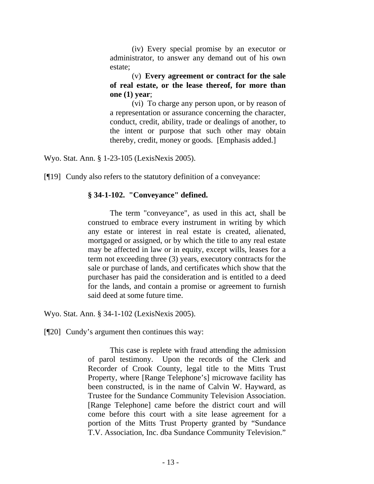(iv) Every special promise by an executor or administrator, to answer any demand out of his own estate;

(v) **Every agreement or contract for the sale of real estate, or the lease thereof, for more than one (1) year**;

(vi) To charge any person upon, or by reason of a representation or assurance concerning the character, conduct, credit, ability, trade or dealings of another, to the intent or purpose that such other may obtain thereby, credit, money or goods. [Emphasis added.]

Wyo. Stat. Ann. § 1-23-105 (LexisNexis 2005).

[¶19] Cundy also refers to the statutory definition of a conveyance:

### **§ 34-1-102. "Conveyance" defined.**

 The term "conveyance", as used in this act, shall be construed to embrace every instrument in writing by which any estate or interest in real estate is created, alienated, mortgaged or assigned, or by which the title to any real estate may be affected in law or in equity, except wills, leases for a term not exceeding three (3) years, executory contracts for the sale or purchase of lands, and certificates which show that the purchaser has paid the consideration and is entitled to a deed for the lands, and contain a promise or agreement to furnish said deed at some future time.

Wyo. Stat. Ann. § 34-1-102 (LexisNexis 2005).

[¶20] Cundy's argument then continues this way:

 This case is replete with fraud attending the admission of parol testimony. Upon the records of the Clerk and Recorder of Crook County, legal title to the Mitts Trust Property, where [Range Telephone's] microwave facility has been constructed, is in the name of Calvin W. Hayward, as Trustee for the Sundance Community Television Association. [Range Telephone] came before the district court and will come before this court with a site lease agreement for a portion of the Mitts Trust Property granted by "Sundance T.V. Association, Inc. dba Sundance Community Television."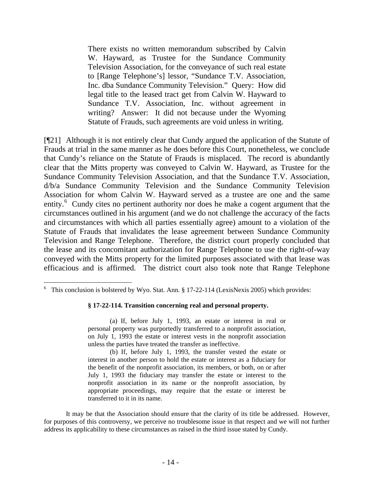There exists no written memorandum subscribed by Calvin W. Hayward, as Trustee for the Sundance Community Television Association, for the conveyance of such real estate to [Range Telephone's] lessor, "Sundance T.V. Association, Inc. dba Sundance Community Television." Query: How did legal title to the leased tract get from Calvin W. Hayward to Sundance T.V. Association, Inc. without agreement in writing? Answer: It did not because under the Wyoming Statute of Frauds, such agreements are void unless in writing.

[¶21] Although it is not entirely clear that Cundy argued the application of the Statute of Frauds at trial in the same manner as he does before this Court, nonetheless, we conclude that Cundy's reliance on the Statute of Frauds is misplaced. The record is abundantly clear that the Mitts property was conveyed to Calvin W. Hayward, as Trustee for the Sundance Community Television Association, and that the Sundance T.V. Association, d/b/a Sundance Community Television and the Sundance Community Television Association for whom Calvin W. Hayward served as a trustee are one and the same entity.<sup>[6](#page-16-0)</sup> Cundy cites no pertinent authority nor does he make a cogent argument that the circumstances outlined in his argument (and we do not challenge the accuracy of the facts and circumstances with which all parties essentially agree) amount to a violation of the Statute of Frauds that invalidates the lease agreement between Sundance Community Television and Range Telephone. Therefore, the district court properly concluded that the lease and its concomitant authorization for Range Telephone to use the right-of-way conveyed with the Mitts property for the limited purposes associated with that lease was efficacious and is affirmed. The district court also took note that Range Telephone

#### **§ 17-22-114. Transition concerning real and personal property.**

 (a) If, before July 1, 1993, an estate or interest in real or personal property was purportedly transferred to a nonprofit association, on July 1, 1993 the estate or interest vests in the nonprofit association unless the parties have treated the transfer as ineffective.

 (b) If, before July 1, 1993, the transfer vested the estate or interest in another person to hold the estate or interest as a fiduciary for the benefit of the nonprofit association, its members, or both, on or after July 1, 1993 the fiduciary may transfer the estate or interest to the nonprofit association in its name or the nonprofit association, by appropriate proceedings, may require that the estate or interest be transferred to it in its name.

 It may be that the Association should ensure that the clarity of its title be addressed. However, for purposes of this controversy, we perceive no troublesome issue in that respect and we will not further address its applicability to these circumstances as raised in the third issue stated by Cundy.

<span id="page-16-0"></span><sup>&</sup>lt;sup>6</sup> This conclusion is bolstered by Wyo. Stat. Ann.  $\S 17-22-114$  (LexisNexis 2005) which provides: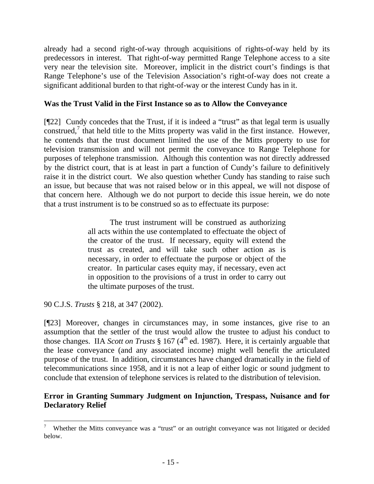already had a second right-of-way through acquisitions of rights-of-way held by its predecessors in interest. That right-of-way permitted Range Telephone access to a site very near the television site. Moreover, implicit in the district court's findings is that Range Telephone's use of the Television Association's right-of-way does not create a significant additional burden to that right-of-way or the interest Cundy has in it.

### **Was the Trust Valid in the First Instance so as to Allow the Conveyance**

[¶22] Cundy concedes that the Trust, if it is indeed a "trust" as that legal term is usually construed, $\frac{7}{1}$  $\frac{7}{1}$  $\frac{7}{1}$  that held title to the Mitts property was valid in the first instance. However, he contends that the trust document limited the use of the Mitts property to use for television transmission and will not permit the conveyance to Range Telephone for purposes of telephone transmission. Although this contention was not directly addressed by the district court, that is at least in part a function of Cundy's failure to definitively raise it in the district court. We also question whether Cundy has standing to raise such an issue, but because that was not raised below or in this appeal, we will not dispose of that concern here. Although we do not purport to decide this issue herein, we do note that a trust instrument is to be construed so as to effectuate its purpose:

> The trust instrument will be construed as authorizing all acts within the use contemplated to effectuate the object of the creator of the trust. If necessary, equity will extend the trust as created, and will take such other action as is necessary, in order to effectuate the purpose or object of the creator. In particular cases equity may, if necessary, even act in opposition to the provisions of a trust in order to carry out the ultimate purposes of the trust.

90 C.J.S. *Trusts* § 218, at 347 (2002).

[¶23] Moreover, changes in circumstances may, in some instances, give rise to an assumption that the settler of the trust would allow the trustee to adjust his conduct to those changes. IIA *Scott on Trusts* § 167 (4<sup>th</sup> ed. 1987). Here, it is certainly arguable that the lease conveyance (and any associated income) might well benefit the articulated purpose of the trust. In addition, circumstances have changed dramatically in the field of telecommunications since 1958, and it is not a leap of either logic or sound judgment to conclude that extension of telephone services is related to the distribution of television.

## **Error in Granting Summary Judgment on Injunction, Trespass, Nuisance and for Declaratory Relief**

<span id="page-17-0"></span><sup>7</sup> Whether the Mitts conveyance was a "trust" or an outright conveyance was not litigated or decided below.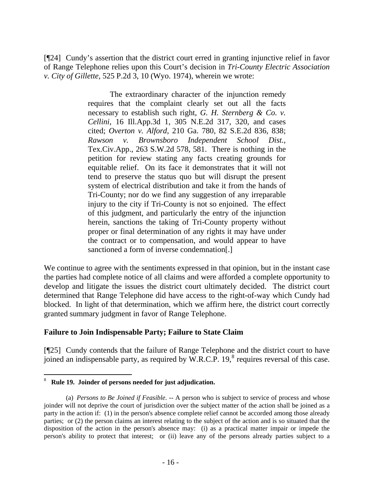[¶24] Cundy's assertion that the district court erred in granting injunctive relief in favor of Range Telephone relies upon this Court's decision in *Tri-County Electric Association v. City of Gillette*, 525 P.2d 3, 10 (Wyo. 1974), wherein we wrote:

> The extraordinary character of the injunction remedy requires that the complaint clearly set out all the facts necessary to establish such right, *G. H. Sternberg & Co. v. Cellini*, 16 Ill.App.3d 1, 305 N.E.2d 317, 320, and cases cited; *Overton v. Alford*, 210 Ga. 780, 82 S.E.2d 836, 838; *Rawson v. Brownsboro Independent School Dist.*, Tex.Civ.App., 263 S.W.2d 578, 581. There is nothing in the petition for review stating any facts creating grounds for equitable relief. On its face it demonstrates that it will not tend to preserve the status quo but will disrupt the present system of electrical distribution and take it from the hands of Tri-County; nor do we find any suggestion of any irreparable injury to the city if Tri-County is not so enjoined. The effect of this judgment, and particularly the entry of the injunction herein, sanctions the taking of Tri-County property without proper or final determination of any rights it may have under the contract or to compensation, and would appear to have sanctioned a form of inverse condemnation[.]

We continue to agree with the sentiments expressed in that opinion, but in the instant case the parties had complete notice of all claims and were afforded a complete opportunity to develop and litigate the issues the district court ultimately decided. The district court determined that Range Telephone did have access to the right-of-way which Cundy had blocked. In light of that determination, which we affirm here, the district court correctly granted summary judgment in favor of Range Telephone.

## **Failure to Join Indispensable Party; Failure to State Claim**

[¶25] Cundy contends that the failure of Range Telephone and the district court to have joined an indispensable party, as required by W.R.C.P. 19, $^8$  $^8$  requires reversal of this case.

 $\overline{a}$ 

<span id="page-18-0"></span><sup>8</sup> **Rule 19. Joinder of persons needed for just adjudication.** 

 <sup>(</sup>a) *Persons to Be Joined if Feasible*. -- A person who is subject to service of process and whose joinder will not deprive the court of jurisdiction over the subject matter of the action shall be joined as a party in the action if: (1) in the person's absence complete relief cannot be accorded among those already parties; or (2) the person claims an interest relating to the subject of the action and is so situated that the disposition of the action in the person's absence may: (i) as a practical matter impair or impede the person's ability to protect that interest; or (ii) leave any of the persons already parties subject to a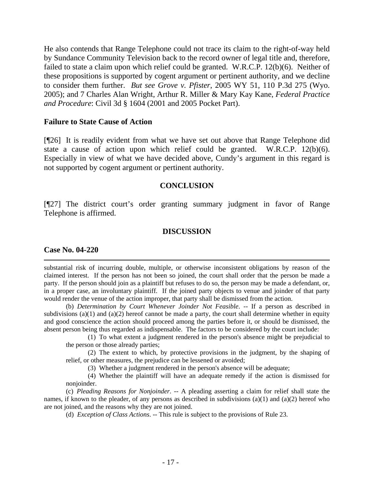He also contends that Range Telephone could not trace its claim to the right-of-way held by Sundance Community Television back to the record owner of legal title and, therefore, failed to state a claim upon which relief could be granted. W.R.C.P. 12(b)(6). Neither of these propositions is supported by cogent argument or pertinent authority, and we decline to consider them further. *But see Grove v. Pfister*, 2005 WY 51, 110 P.3d 275 (Wyo. 2005); and 7 Charles Alan Wright, Arthur R. Miller & Mary Kay Kane, *Federal Practice and Procedure*: Civil 3d § 1604 (2001 and 2005 Pocket Part).

#### **Failure to State Cause of Action**

[¶26] It is readily evident from what we have set out above that Range Telephone did state a cause of action upon which relief could be granted. W.R.C.P. 12(b)(6). Especially in view of what we have decided above, Cundy's argument in this regard is not supported by cogent argument or pertinent authority.

#### **CONCLUSION**

[¶27] The district court's order granting summary judgment in favor of Range Telephone is affirmed.

### **DISCUSSION**

#### **Case No. 04-220**

 $\overline{a}$ 

substantial risk of incurring double, multiple, or otherwise inconsistent obligations by reason of the claimed interest. If the person has not been so joined, the court shall order that the person be made a party. If the person should join as a plaintiff but refuses to do so, the person may be made a defendant, or, in a proper case, an involuntary plaintiff. If the joined party objects to venue and joinder of that party would render the venue of the action improper, that party shall be dismissed from the action.

 (b) *Determination by Court Whenever Joinder Not Feasible*. -- If a person as described in subdivisions  $(a)(1)$  and  $(a)(2)$  hereof cannot be made a party, the court shall determine whether in equity and good conscience the action should proceed among the parties before it, or should be dismissed, the absent person being thus regarded as indispensable. The factors to be considered by the court include:

(1) To what extent a judgment rendered in the person's absence might be prejudicial to the person or those already parties;

(2) The extent to which, by protective provisions in the judgment, by the shaping of relief, or other measures, the prejudice can be lessened or avoided;

(3) Whether a judgment rendered in the person's absence will be adequate;

 (4) Whether the plaintiff will have an adequate remedy if the action is dismissed for nonjoinder.

 (c) *Pleading Reasons for Nonjoinder*. -- A pleading asserting a claim for relief shall state the names, if known to the pleader, of any persons as described in subdivisions (a)(1) and (a)(2) hereof who are not joined, and the reasons why they are not joined.

(d) *Exception of Class Actions*. -- This rule is subject to the provisions of Rule 23.